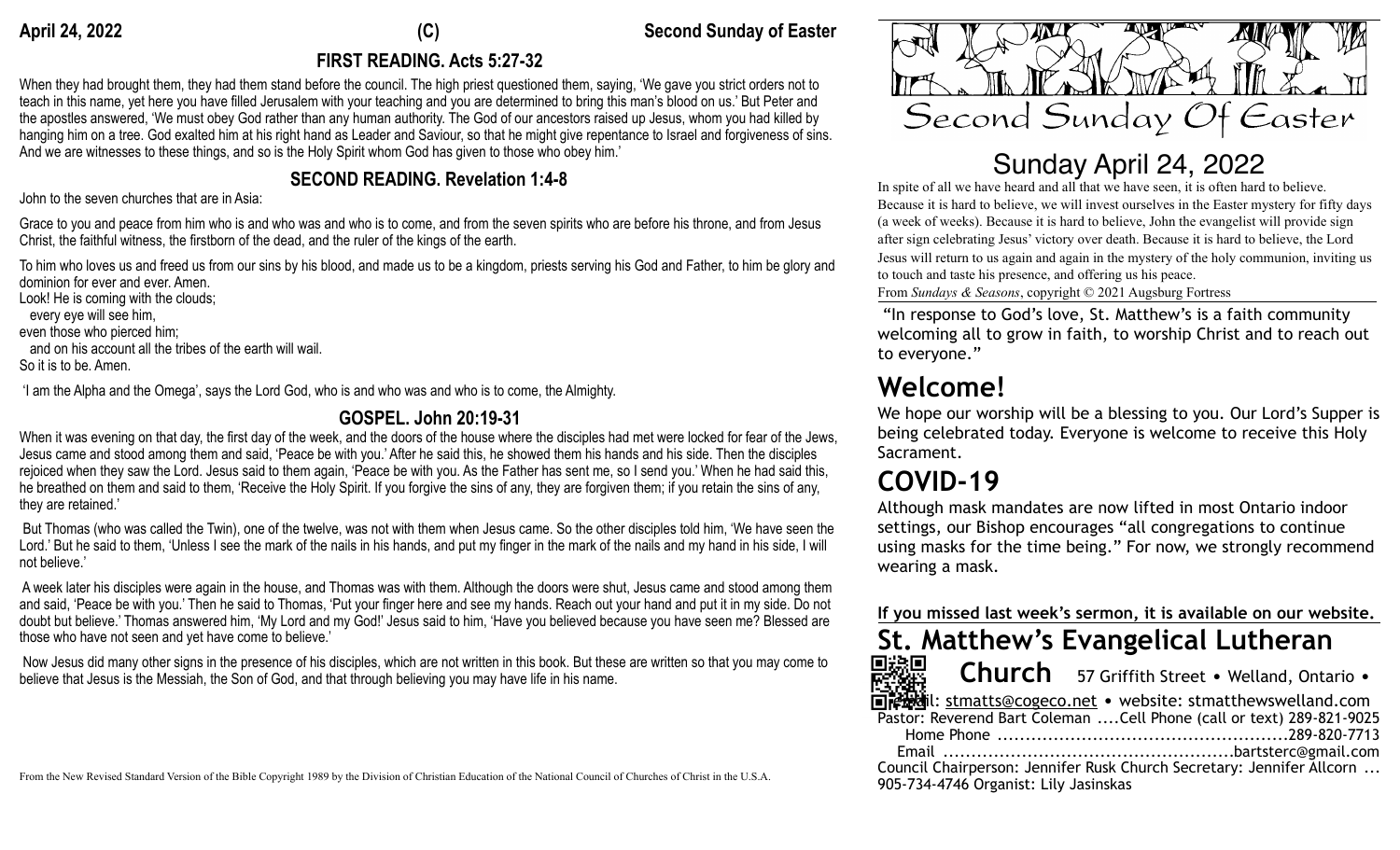## **FIRST READING. Acts 5:27-32**

When they had brought them, they had them stand before the council. The high priest questioned them, saying, 'We gave you strict orders not to teach in this name, yet here you have filled Jerusalem with your teaching and you are determined to bring this man's blood on us.' But Peter and the apostles answered, 'We must obey God rather than any human authority. The God of our ancestors raised up Jesus, whom you had killed by hanging him on a tree. God exalted him at his right hand as Leader and Saviour, so that he might give repentance to Israel and forgiveness of sins. And we are witnesses to these things, and so is the Holy Spirit whom God has given to those who obey him.'

## **SECOND READING. Revelation 1:4-8**

John to the seven churches that are in Asia:

Grace to you and peace from him who is and who was and who is to come, and from the seven spirits who are before his throne, and from Jesus Christ, the faithful witness, the firstborn of the dead, and the ruler of the kings of the earth.

To him who loves us and freed us from our sins by his blood, and made us to be a kingdom, priests serving his God and Father, to him be glory and dominion for ever and ever. Amen.

Look! He is coming with the clouds;

every eye will see him,

even those who pierced him;

 and on his account all the tribes of the earth will wail. So it is to be. Amen.

'I am the Alpha and the Omega', says the Lord God, who is and who was and who is to come, the Almighty.

## **GOSPEL. John 20:19-31**

When it was evening on that day, the first day of the week, and the doors of the house where the disciples had met were locked for fear of the Jews, Jesus came and stood among them and said, 'Peace be with you.' After he said this, he showed them his hands and his side. Then the disciples rejoiced when they saw the Lord. Jesus said to them again, 'Peace be with you. As the Father has sent me, so I send you.' When he had said this, he breathed on them and said to them, 'Receive the Holy Spirit. If you forgive the sins of any, they are forgiven them; if you retain the sins of any, they are retained.'

 But Thomas (who was called the Twin), one of the twelve, was not with them when Jesus came. So the other disciples told him, 'We have seen the Lord.' But he said to them, 'Unless I see the mark of the nails in his hands, and put my finger in the mark of the nails and my hand in his side, I will not believe.'

 A week later his disciples were again in the house, and Thomas was with them. Although the doors were shut, Jesus came and stood among them and said, 'Peace be with you.' Then he said to Thomas, 'Put your finger here and see my hands. Reach out your hand and put it in my side. Do not doubt but believe.' Thomas answered him, 'My Lord and my God!' Jesus said to him, 'Have you believed because you have seen me? Blessed are those who have not seen and yet have come to believe.'

 Now Jesus did many other signs in the presence of his disciples, which are not written in this book. But these are written so that you may come to believe that Jesus is the Messiah, the Son of God, and that through believing you may have life in his name.



# Sunday April 24, 2022

In spite of all we have heard and all that we have seen, it is often hard to believe. Because it is hard to believe, we will invest ourselves in the Easter mystery for fifty days (a week of weeks). Because it is hard to believe, John the evangelist will provide sign after sign celebrating Jesus' victory over death. Because it is hard to believe, the Lord Jesus will return to us again and again in the mystery of the holy communion, inviting us to touch and taste his presence, and offering us his peace.

From *Sundays & Seasons*, copyright © 2021 Augsburg Fortress

 "In response to God's love, St. Matthew's is a faith community welcoming all to grow in faith, to worship Christ and to reach out to everyone."

**Welcome!** We hope our worship will be a blessing to you. Our Lord's Supper is being celebrated today. Everyone is welcome to receive this Holy Sacrament.

# **COVID-19**

Although mask mandates are now lifted in most Ontario indoor settings, our Bishop encourages "all congregations to continue using masks for the time being." For now, we strongly recommend wearing a mask.

**If you missed last week's sermon, it is available on our website.** 



From the New Revised Standard Version of the Bible Copyright 1989 by the Division of Christian Education of the National Council of Churches of Christ in the U.S.A.